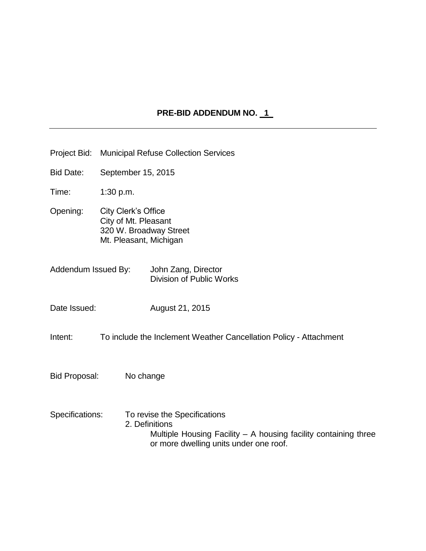## PRE-BID ADDENDUM NO. 1

- Project Bid: Municipal Refuse Collection Services
- Bid Date: September 15, 2015
- Time: 1:30 p.m.
- Opening: City Clerk's Office City of Mt. Pleasant 320 W. Broadway Street Mt. Pleasant, Michigan
- Addendum Issued By: John Zang, Director Division of Public Works
- Date Issued: August 21, 2015
- Intent: To include the Inclement Weather Cancellation Policy Attachment
- Bid Proposal: No change
- Specifications: To revise the Specifications 2. Definitions Multiple Housing Facility – A housing facility containing three or more dwelling units under one roof.